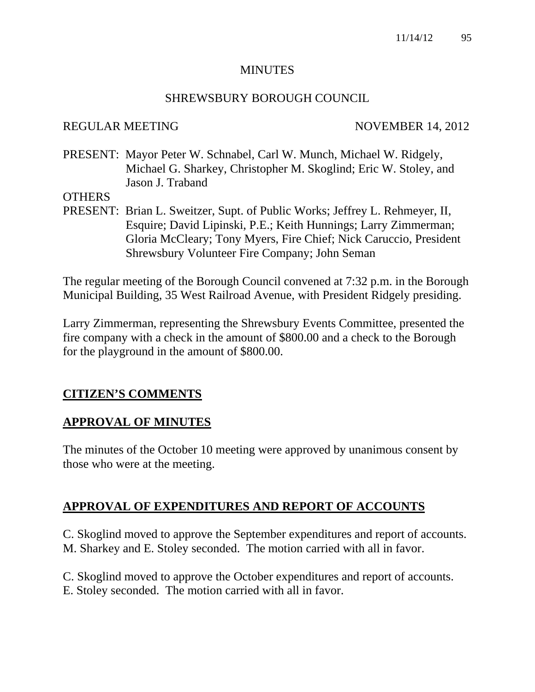#### **MINUTES**

#### SHREWSBURY BOROUGH COUNCIL

#### REGULAR MEETING NOVEMBER 14, 2012

PRESENT: Mayor Peter W. Schnabel, Carl W. Munch, Michael W. Ridgely, Michael G. Sharkey, Christopher M. Skoglind; Eric W. Stoley, and Jason J. Traband

#### **OTHERS**

PRESENT: Brian L. Sweitzer, Supt. of Public Works; Jeffrey L. Rehmeyer, II, Esquire; David Lipinski, P.E.; Keith Hunnings; Larry Zimmerman; Gloria McCleary; Tony Myers, Fire Chief; Nick Caruccio, President Shrewsbury Volunteer Fire Company; John Seman

The regular meeting of the Borough Council convened at 7:32 p.m. in the Borough Municipal Building, 35 West Railroad Avenue, with President Ridgely presiding.

Larry Zimmerman, representing the Shrewsbury Events Committee, presented the fire company with a check in the amount of \$800.00 and a check to the Borough for the playground in the amount of \$800.00.

# **CITIZEN'S COMMENTS**

# **APPROVAL OF MINUTES**

The minutes of the October 10 meeting were approved by unanimous consent by those who were at the meeting.

# **APPROVAL OF EXPENDITURES AND REPORT OF ACCOUNTS**

C. Skoglind moved to approve the September expenditures and report of accounts. M. Sharkey and E. Stoley seconded. The motion carried with all in favor.

C. Skoglind moved to approve the October expenditures and report of accounts. E. Stoley seconded. The motion carried with all in favor.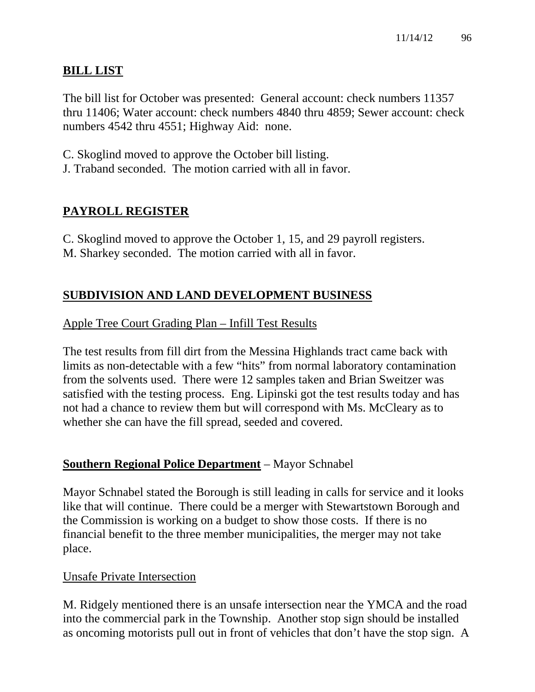# **BILL LIST**

The bill list for October was presented: General account: check numbers 11357 thru 11406; Water account: check numbers 4840 thru 4859; Sewer account: check numbers 4542 thru 4551; Highway Aid: none.

- C. Skoglind moved to approve the October bill listing.
- J. Traband seconded. The motion carried with all in favor.

# **PAYROLL REGISTER**

C. Skoglind moved to approve the October 1, 15, and 29 payroll registers. M. Sharkey seconded. The motion carried with all in favor.

# **SUBDIVISION AND LAND DEVELOPMENT BUSINESS**

# Apple Tree Court Grading Plan – Infill Test Results

The test results from fill dirt from the Messina Highlands tract came back with limits as non-detectable with a few "hits" from normal laboratory contamination from the solvents used. There were 12 samples taken and Brian Sweitzer was satisfied with the testing process. Eng. Lipinski got the test results today and has not had a chance to review them but will correspond with Ms. McCleary as to whether she can have the fill spread, seeded and covered.

# **Southern Regional Police Department** – Mayor Schnabel

Mayor Schnabel stated the Borough is still leading in calls for service and it looks like that will continue. There could be a merger with Stewartstown Borough and the Commission is working on a budget to show those costs. If there is no financial benefit to the three member municipalities, the merger may not take place.

# Unsafe Private Intersection

M. Ridgely mentioned there is an unsafe intersection near the YMCA and the road into the commercial park in the Township. Another stop sign should be installed as oncoming motorists pull out in front of vehicles that don't have the stop sign. A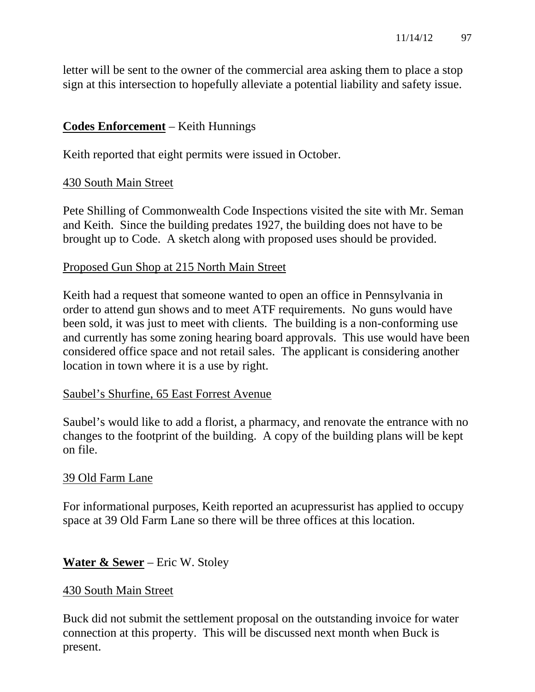letter will be sent to the owner of the commercial area asking them to place a stop sign at this intersection to hopefully alleviate a potential liability and safety issue.

# **Codes Enforcement** – Keith Hunnings

Keith reported that eight permits were issued in October.

# 430 South Main Street

Pete Shilling of Commonwealth Code Inspections visited the site with Mr. Seman and Keith. Since the building predates 1927, the building does not have to be brought up to Code. A sketch along with proposed uses should be provided.

# Proposed Gun Shop at 215 North Main Street

Keith had a request that someone wanted to open an office in Pennsylvania in order to attend gun shows and to meet ATF requirements. No guns would have been sold, it was just to meet with clients. The building is a non-conforming use and currently has some zoning hearing board approvals. This use would have been considered office space and not retail sales. The applicant is considering another location in town where it is a use by right.

# Saubel's Shurfine, 65 East Forrest Avenue

Saubel's would like to add a florist, a pharmacy, and renovate the entrance with no changes to the footprint of the building. A copy of the building plans will be kept on file.

# 39 Old Farm Lane

For informational purposes, Keith reported an acupressurist has applied to occupy space at 39 Old Farm Lane so there will be three offices at this location.

# **Water & Sewer** – Eric W. Stoley

# 430 South Main Street

Buck did not submit the settlement proposal on the outstanding invoice for water connection at this property. This will be discussed next month when Buck is present.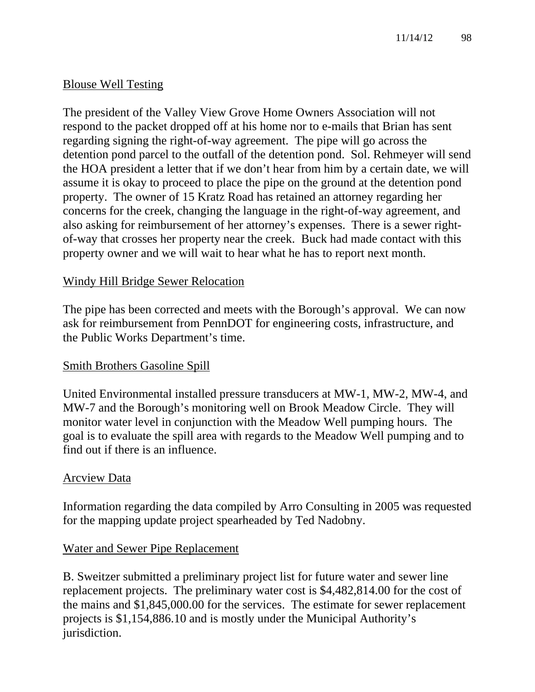# Blouse Well Testing

The president of the Valley View Grove Home Owners Association will not respond to the packet dropped off at his home nor to e-mails that Brian has sent regarding signing the right-of-way agreement. The pipe will go across the detention pond parcel to the outfall of the detention pond. Sol. Rehmeyer will send the HOA president a letter that if we don't hear from him by a certain date, we will assume it is okay to proceed to place the pipe on the ground at the detention pond property. The owner of 15 Kratz Road has retained an attorney regarding her concerns for the creek, changing the language in the right-of-way agreement, and also asking for reimbursement of her attorney's expenses. There is a sewer rightof-way that crosses her property near the creek. Buck had made contact with this property owner and we will wait to hear what he has to report next month.

# Windy Hill Bridge Sewer Relocation

The pipe has been corrected and meets with the Borough's approval. We can now ask for reimbursement from PennDOT for engineering costs, infrastructure, and the Public Works Department's time.

# Smith Brothers Gasoline Spill

United Environmental installed pressure transducers at MW-1, MW-2, MW-4, and MW-7 and the Borough's monitoring well on Brook Meadow Circle. They will monitor water level in conjunction with the Meadow Well pumping hours. The goal is to evaluate the spill area with regards to the Meadow Well pumping and to find out if there is an influence.

# Arcview Data

Information regarding the data compiled by Arro Consulting in 2005 was requested for the mapping update project spearheaded by Ted Nadobny.

# Water and Sewer Pipe Replacement

B. Sweitzer submitted a preliminary project list for future water and sewer line replacement projects. The preliminary water cost is \$4,482,814.00 for the cost of the mains and \$1,845,000.00 for the services. The estimate for sewer replacement projects is \$1,154,886.10 and is mostly under the Municipal Authority's jurisdiction.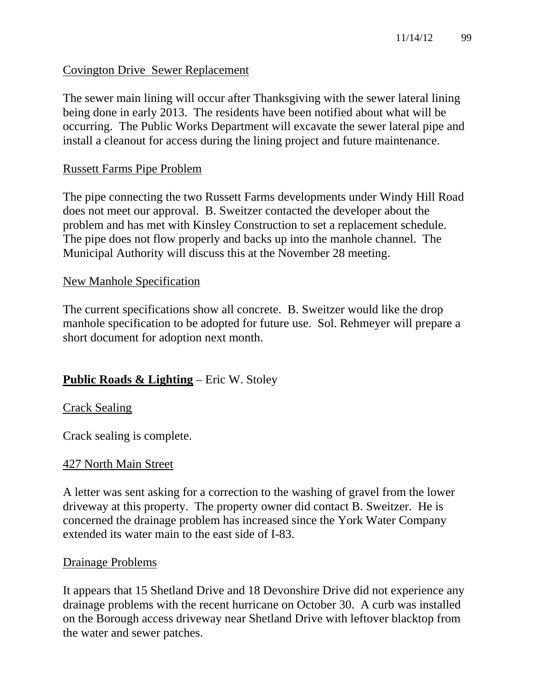# Covington Drive Sewer Replacement

The sewer main lining will occur after Thanksgiving with the sewer lateral lining being done in early 2013. The residents have been notified about what will be occurring. The Public Works Department will excavate the sewer lateral pipe and install a cleanout for access during the lining project and future maintenance.

### Russett Farms Pipe Problem

The pipe connecting the two Russett Farms developments under Windy Hill Road does not meet our approval. B. Sweitzer contacted the developer about the problem and has met with Kinsley Construction to set a replacement schedule. The pipe does not flow properly and backs up into the manhole channel. The Municipal Authority will discuss this at the November 28 meeting.

#### New Manhole Specification

The current specifications show all concrete. B. Sweitzer would like the drop manhole specification to be adopted for future use. Sol. Rehmeyer will prepare a short document for adoption next month.

# **Public Roads & Lighting** – Eric W. Stoley

# Crack Sealing

Crack sealing is complete.

#### 427 North Main Street

A letter was sent asking for a correction to the washing of gravel from the lower driveway at this property. The property owner did contact B. Sweitzer. He is concerned the drainage problem has increased since the York Water Company extended its water main to the east side of I-83.

#### Drainage Problems

It appears that 15 Shetland Drive and 18 Devonshire Drive did not experience any drainage problems with the recent hurricane on October 30. A curb was installed on the Borough access driveway near Shetland Drive with leftover blacktop from the water and sewer patches.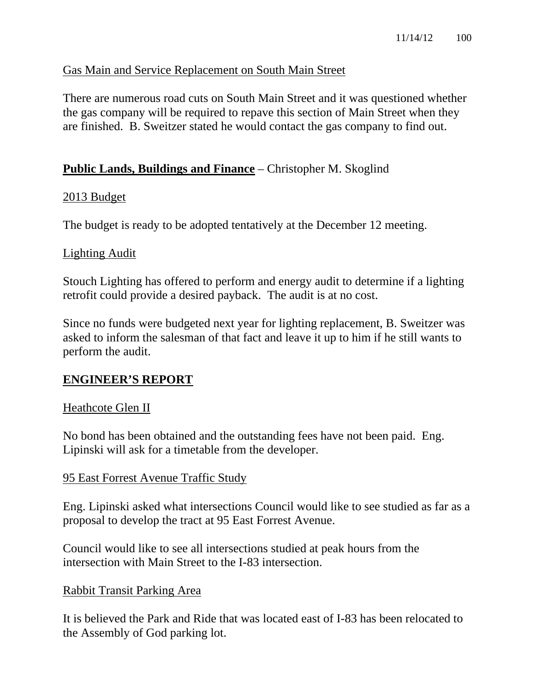# Gas Main and Service Replacement on South Main Street

There are numerous road cuts on South Main Street and it was questioned whether the gas company will be required to repave this section of Main Street when they are finished. B. Sweitzer stated he would contact the gas company to find out.

### **Public Lands, Buildings and Finance** – Christopher M. Skoglind

#### 2013 Budget

The budget is ready to be adopted tentatively at the December 12 meeting.

#### Lighting Audit

Stouch Lighting has offered to perform and energy audit to determine if a lighting retrofit could provide a desired payback. The audit is at no cost.

Since no funds were budgeted next year for lighting replacement, B. Sweitzer was asked to inform the salesman of that fact and leave it up to him if he still wants to perform the audit.

#### **ENGINEER'S REPORT**

#### Heathcote Glen II

No bond has been obtained and the outstanding fees have not been paid. Eng. Lipinski will ask for a timetable from the developer.

#### 95 East Forrest Avenue Traffic Study

Eng. Lipinski asked what intersections Council would like to see studied as far as a proposal to develop the tract at 95 East Forrest Avenue.

Council would like to see all intersections studied at peak hours from the intersection with Main Street to the I-83 intersection.

#### Rabbit Transit Parking Area

It is believed the Park and Ride that was located east of I-83 has been relocated to the Assembly of God parking lot.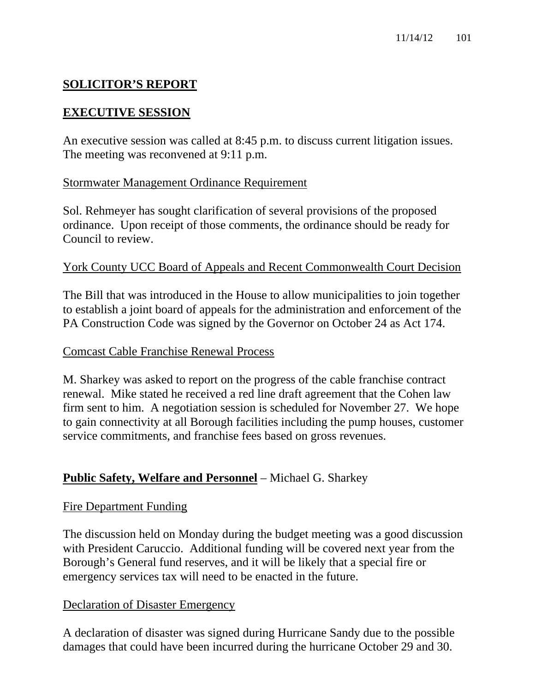# **SOLICITOR'S REPORT**

# **EXECUTIVE SESSION**

An executive session was called at 8:45 p.m. to discuss current litigation issues. The meeting was reconvened at 9:11 p.m.

# Stormwater Management Ordinance Requirement

Sol. Rehmeyer has sought clarification of several provisions of the proposed ordinance. Upon receipt of those comments, the ordinance should be ready for Council to review.

# York County UCC Board of Appeals and Recent Commonwealth Court Decision

The Bill that was introduced in the House to allow municipalities to join together to establish a joint board of appeals for the administration and enforcement of the PA Construction Code was signed by the Governor on October 24 as Act 174.

# Comcast Cable Franchise Renewal Process

M. Sharkey was asked to report on the progress of the cable franchise contract renewal. Mike stated he received a red line draft agreement that the Cohen law firm sent to him. A negotiation session is scheduled for November 27. We hope to gain connectivity at all Borough facilities including the pump houses, customer service commitments, and franchise fees based on gross revenues.

# **Public Safety, Welfare and Personnel** – Michael G. Sharkey

# Fire Department Funding

The discussion held on Monday during the budget meeting was a good discussion with President Caruccio. Additional funding will be covered next year from the Borough's General fund reserves, and it will be likely that a special fire or emergency services tax will need to be enacted in the future.

# Declaration of Disaster Emergency

A declaration of disaster was signed during Hurricane Sandy due to the possible damages that could have been incurred during the hurricane October 29 and 30.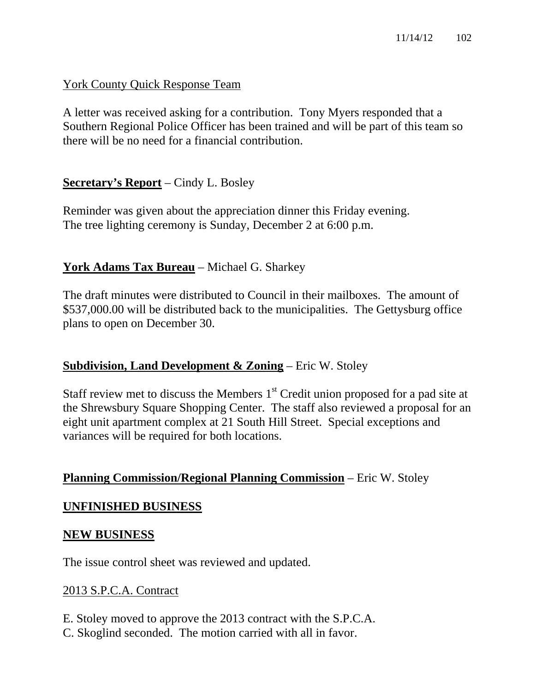York County Quick Response Team

A letter was received asking for a contribution. Tony Myers responded that a Southern Regional Police Officer has been trained and will be part of this team so there will be no need for a financial contribution.

# **Secretary's Report** – Cindy L. Bosley

Reminder was given about the appreciation dinner this Friday evening. The tree lighting ceremony is Sunday, December 2 at 6:00 p.m.

# **York Adams Tax Bureau** – Michael G. Sharkey

The draft minutes were distributed to Council in their mailboxes. The amount of \$537,000.00 will be distributed back to the municipalities. The Gettysburg office plans to open on December 30.

# **Subdivision, Land Development & Zoning** – Eric W. Stoley

Staff review met to discuss the Members  $1<sup>st</sup>$  Credit union proposed for a pad site at the Shrewsbury Square Shopping Center. The staff also reviewed a proposal for an eight unit apartment complex at 21 South Hill Street. Special exceptions and variances will be required for both locations.

# **Planning Commission/Regional Planning Commission** – Eric W. Stoley

# **UNFINISHED BUSINESS**

#### **NEW BUSINESS**

The issue control sheet was reviewed and updated.

# 2013 S.P.C.A. Contract

E. Stoley moved to approve the 2013 contract with the S.P.C.A. C. Skoglind seconded. The motion carried with all in favor.